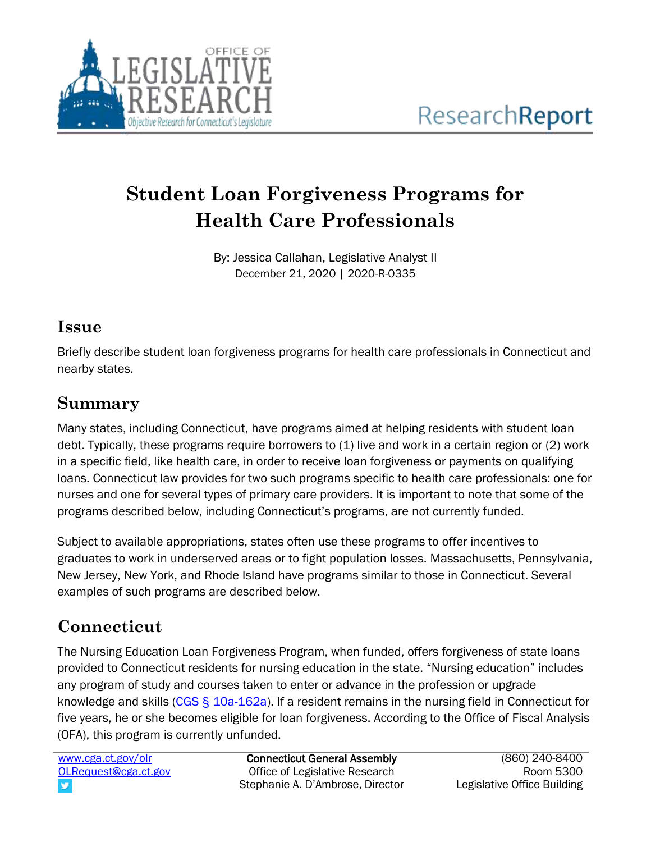

# **Student Loan Forgiveness Programs for Health Care Professionals**

By: Jessica Callahan, Legislative Analyst II December 21, 2020 | 2020-R-0335

#### **Issue**

Briefly describe student loan forgiveness programs for health care professionals in Connecticut and nearby states.

### **Summary**

Many states, including Connecticut, have programs aimed at helping residents with student loan debt. Typically, these programs require borrowers to (1) live and work in a certain region or (2) work in a specific field, like health care, in order to receive loan forgiveness or payments on qualifying loans. Connecticut law provides for two such programs specific to health care professionals: one for nurses and one for several types of primary care providers. It is important to note that some of the programs described below, including Connecticut's programs, are not currently funded.

Subject to available appropriations, states often use these programs to offer incentives to graduates to work in underserved areas or to fight population losses. Massachusetts, Pennsylvania, New Jersey, New York, and Rhode Island have programs similar to those in Connecticut. Several examples of such programs are described below.

# **Connecticut**

The Nursing Education Loan Forgiveness Program, when funded, offers forgiveness of state loans provided to Connecticut residents for nursing education in the state. "Nursing education" includes any program of study and courses taken to enter or advance in the profession or upgrade knowledge and skills [\(CGS § 10a-162a\)](https://www.cga.ct.gov/current/pub/chap_186.htm#sec_10a-162a). If a resident remains in the nursing field in Connecticut for five years, he or she becomes eligible for loan forgiveness. According to the Office of Fiscal Analysis (OFA), this program is currently unfunded.

[www.cga.ct.gov/olr](http://www.cga.ct.gov/olr) [OLRequest@cga.ct.gov](mailto:OLRequest@cga.ct.gov) v

Connecticut General Assembly Office of Legislative Research Stephanie A. D'Ambrose, Director

(860) 240-8400 Room 5300 Legislative Office Building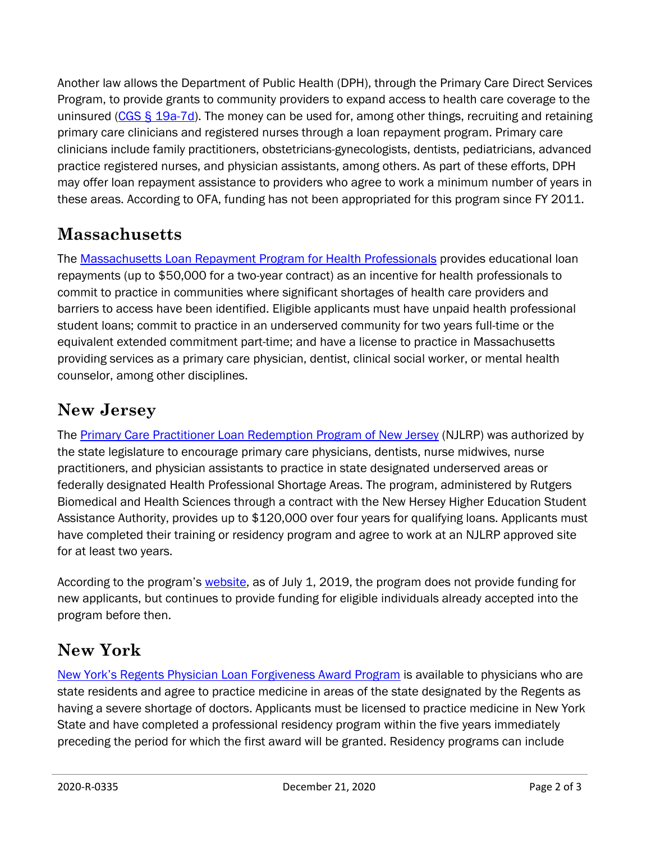Another law allows the Department of Public Health (DPH), through the Primary Care Direct Services Program, to provide grants to community providers to expand access to health care coverage to the uninsured ( $CGS  $\S$  19a-7d$ ). The money can be used for, among other things, recruiting and retaining</u> primary care clinicians and registered nurses through a loan repayment program. Primary care clinicians include family practitioners, obstetricians-gynecologists, dentists, pediatricians, advanced practice registered nurses, and physician assistants, among others. As part of these efforts, DPH may offer loan repayment assistance to providers who agree to work a minimum number of years in these areas. According to OFA, funding has not been appropriated for this program since FY 2011.

#### **Massachusetts**

The [Massachusetts Loan Repayment Program for Health Professionals](https://www.mass.edu/osfa/programs/healthprofessionals.asp) provides educational loan repayments (up to \$50,000 for a two-year contract) as an incentive for health professionals to commit to practice in communities where significant shortages of health care providers and barriers to access have been identified. Eligible applicants must have unpaid health professional student loans; commit to practice in an underserved community for two years full-time or the equivalent extended commitment part-time; and have a license to practice in Massachusetts providing services as a primary care physician, dentist, clinical social worker, or mental health counselor, among other disciplines.

### **New Jersey**

The [Primary Care Practitioner Loan Redemption Program of New Jersey](https://lrp.rbhs.rutgers.edu/) (NJLRP) was authorized by the state legislature to encourage primary care physicians, dentists, nurse midwives, nurse practitioners, and physician assistants to practice in state designated underserved areas or federally designated Health Professional Shortage Areas. The program, administered by Rutgers Biomedical and Health Sciences through a contract with the New Hersey Higher Education Student Assistance Authority, provides up to \$120,000 over four years for qualifying loans. Applicants must have completed their training or residency program and agree to work at an NJLRP approved site for at least two years.

According to the program's [website,](https://lrp.rbhs.rutgers.edu/) as of July 1, 2019, the program does not provide funding for new applicants, but continues to provide funding for eligible individuals already accepted into the program before then.

# **New York**

New York'[s Regents Physician Loan Forgiveness Award Program](http://www.nysed.gov/postsecondary-services/regents-physician-loan-forgiveness-program-lf) is available to physicians who are state residents and agree to practice medicine in areas of the state designated by the Regents as having a severe shortage of doctors. Applicants must be licensed to practice medicine in New York State and have completed a professional residency program within the five years immediately preceding the period for which the first award will be granted. Residency programs can include